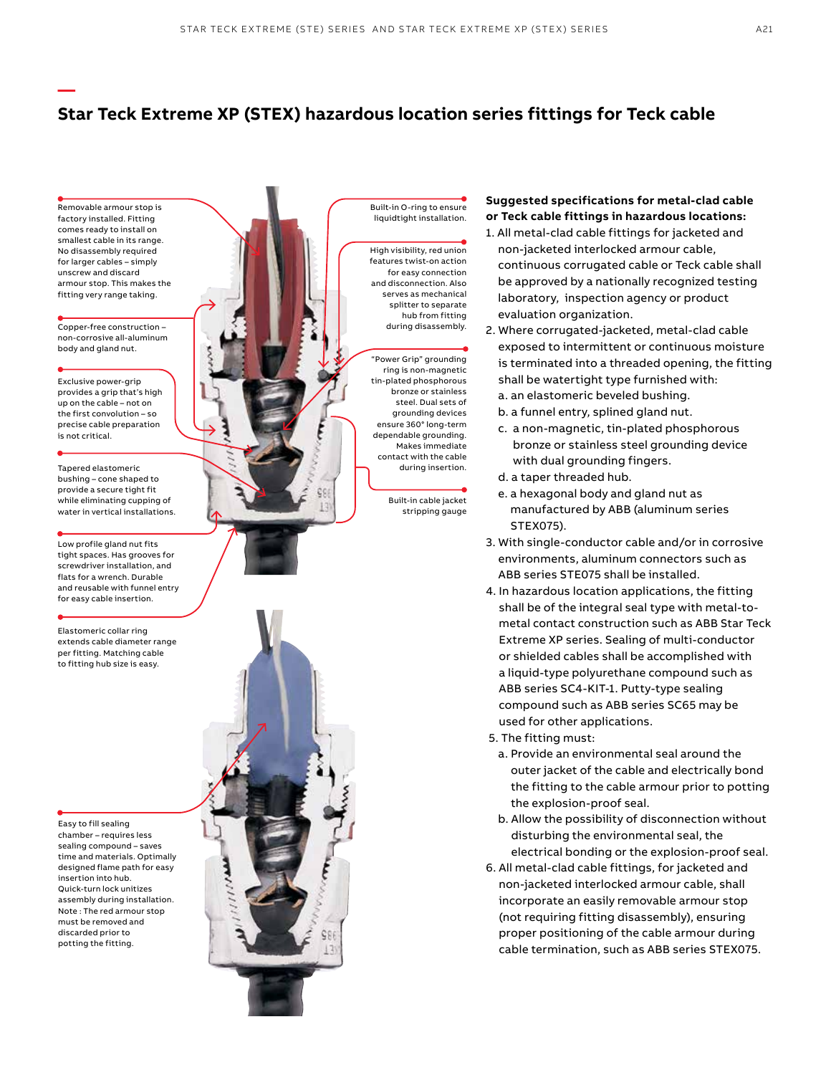**—**

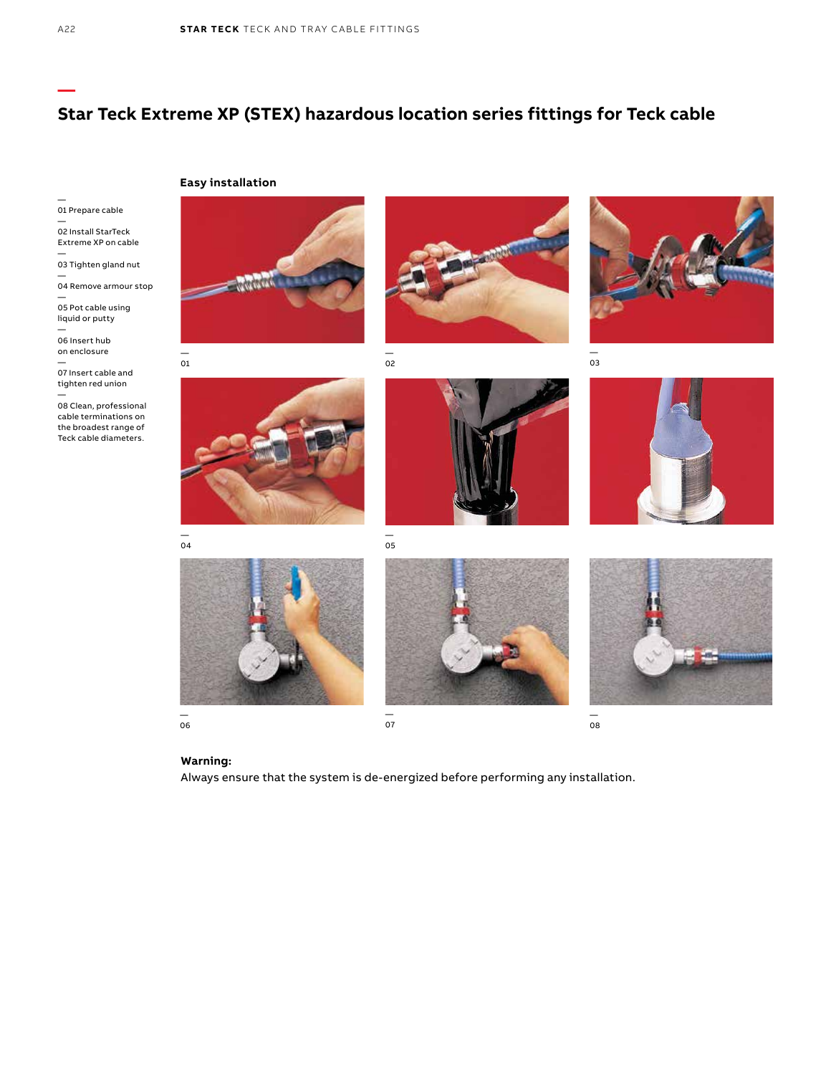— 01 Prepare cable

— 02 Install StarTeck Extreme XP on cable —

03 Tighten gland nut —

04 Remove armour stop — 05 Pot cable using

liquid or putty —

06 Insert hub on enclosure

— 07 Insert cable and tighten red union

— 08 Clean, professional cable terminations on the broadest range of Teck cable diameters.















— 06

04

—

## **Warning:**

Always ensure that the system is de-energized before performing any installation.

**—**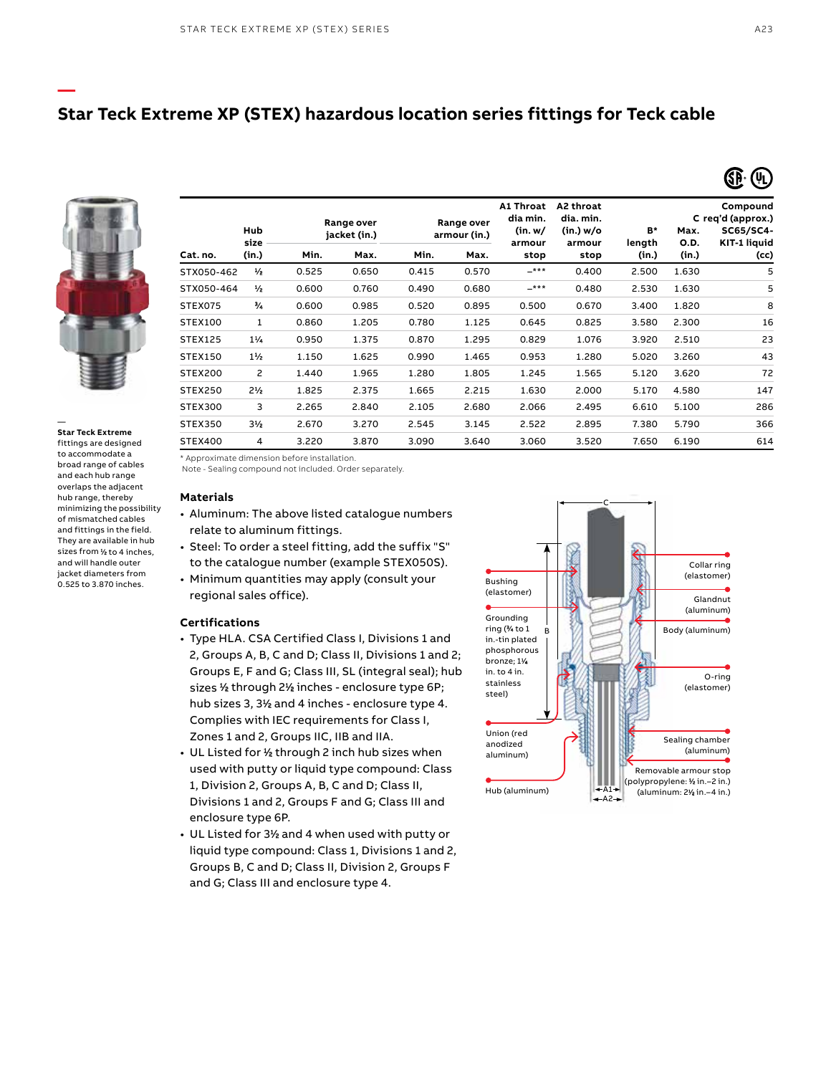

**—**

| Cat. no.       |                |                            |       |                            | A1 Throat<br>dia min. | A2 throat<br>dia. min. | Compound<br>C req'd (approx.) |              |                     |                           |
|----------------|----------------|----------------------------|-------|----------------------------|-----------------------|------------------------|-------------------------------|--------------|---------------------|---------------------------|
|                | Hub<br>size    | Range over<br>jacket (in.) |       | Range over<br>armour (in.) |                       | (in. w)<br>armour      | (in.) w/o<br>armour           | B*<br>length | Max.<br><b>O.D.</b> | SC65/SC4-<br>KIT-1 liquid |
|                | (in.)          | Min.                       | Max.  | Min.                       | Max.                  | stop                   | stop                          | (in.)        | (in.)               | (cc)                      |
| STX050-462     | $\frac{1}{2}$  | 0.525                      | 0.650 | 0.415                      | 0.570                 | $-***$                 | 0.400                         | 2.500        | 1.630               | 5                         |
| STX050-464     | $\frac{1}{2}$  | 0.600                      | 0.760 | 0.490                      | 0.680                 | $-***$                 | 0.480                         | 2.530        | 1.630               | 5                         |
| STEX075        | $\frac{3}{4}$  | 0.600                      | 0.985 | 0.520                      | 0.895                 | 0.500                  | 0.670                         | 3.400        | 1.820               | 8                         |
| <b>STEX100</b> | 1              | 0.860                      | 1.205 | 0.780                      | 1.125                 | 0.645                  | 0.825                         | 3.580        | 2.300               | 16                        |
| <b>STEX125</b> | $1\frac{1}{4}$ | 0.950                      | 1.375 | 0.870                      | 1.295                 | 0.829                  | 1.076                         | 3.920        | 2.510               | 23                        |
| <b>STEX150</b> | $1\frac{1}{2}$ | 1.150                      | 1.625 | 0.990                      | 1.465                 | 0.953                  | 1.280                         | 5.020        | 3.260               | 43                        |
| <b>STEX200</b> | 2              | 1.440                      | 1.965 | 1.280                      | 1.805                 | 1.245                  | 1.565                         | 5.120        | 3.620               | 72                        |
| <b>STEX250</b> | $2\frac{1}{2}$ | 1.825                      | 2.375 | 1.665                      | 2.215                 | 1.630                  | 2.000                         | 5.170        | 4.580               | 147                       |
| <b>STEX300</b> | 3              | 2.265                      | 2.840 | 2.105                      | 2.680                 | 2.066                  | 2.495                         | 6.610        | 5.100               | 286                       |
| STEX350        | $3\frac{1}{2}$ | 2.670                      | 3.270 | 2.545                      | 3.145                 | 2.522                  | 2.895                         | 7.380        | 5.790               | 366                       |
| <b>STEX400</b> | 4              | 3.220                      | 3.870 | 3.090                      | 3.640                 | 3.060                  | 3.520                         | 7.650        | 6.190               | 614                       |

#### — **Star Teck Extreme**

fittings are designed to accommodate a broad range of cables and each hub range overlaps the adjacent hub range, thereby minimizing the possibility of mismatched cables and fittings in the field. They are available in hub sizes from 1 ⁄2 to 4 inches, and will handle outer jacket diameters from 0.525 to 3.870 inches.

\* Approximate dimension before installation. Note - Sealing compound not included. Order separately.

### **Materials**

- Aluminum: The above listed catalogue numbers relate to aluminum fittings.
- Steel: To order a steel fitting, add the suffix "S" to the catalogue number (example STEX050S).
- Minimum quantities may apply (consult your regional sales office).

## **Certifications**

- Type HLA. CSA Certified Class I, Divisions 1 and 2, Groups A, B, C and D; Class II, Divisions 1 and 2; Groups E, F and G; Class III, SL (integral seal); hub sizes 1 ⁄2 through 21 ⁄2 inches - enclosure type 6P; hub sizes 3, 31 ⁄2 and 4 inches - enclosure type 4. Complies with IEC requirements for Class I, Zones 1 and 2, Groups IIC, IIB and IIA.
- UL Listed for ½ through 2 inch hub sizes when used with putty or liquid type compound: Class 1, Division 2, Groups A, B, C and D; Class II, Divisions 1 and 2, Groups F and G; Class III and enclosure type 6P.
- UL Listed for 31 ⁄2 and 4 when used with putty or liquid type compound: Class 1, Divisions 1 and 2, Groups B, C and D; Class II, Division 2, Groups F and G; Class III and enclosure type 4.

#### C Collar ring Bushing **Contract of the Contract of Contract Or** (elastomer) (elastomer) Grounding ring (3 ⁄4 to 1 in.-tin plated phosphorous bronze; 11 ⁄4 in. to 4 in. stainless steel) Union (red anodized aluminum) Glandnut (aluminum) Body (aluminum) O-ring (elastomer) Hub (aluminum) Sealing chamber (aluminum) Removable armour stop (polypropylene: 1 ⁄2 in.–2 in.)  $\overline{A1}$  (aluminum: 2½ in.–4 in.) B  $-42$